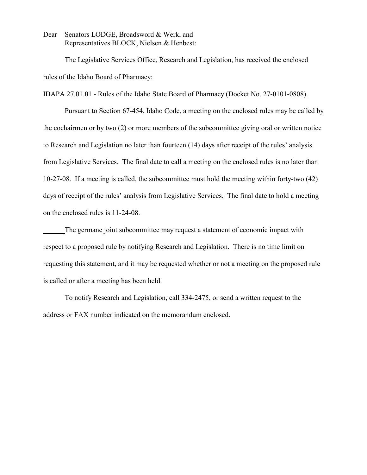Dear Senators LODGE, Broadsword & Werk, and Representatives BLOCK, Nielsen & Henbest:

The Legislative Services Office, Research and Legislation, has received the enclosed rules of the Idaho Board of Pharmacy:

IDAPA 27.01.01 - Rules of the Idaho State Board of Pharmacy (Docket No. 27-0101-0808).

Pursuant to Section 67-454, Idaho Code, a meeting on the enclosed rules may be called by the cochairmen or by two (2) or more members of the subcommittee giving oral or written notice to Research and Legislation no later than fourteen (14) days after receipt of the rules' analysis from Legislative Services. The final date to call a meeting on the enclosed rules is no later than 10-27-08. If a meeting is called, the subcommittee must hold the meeting within forty-two (42) days of receipt of the rules' analysis from Legislative Services. The final date to hold a meeting on the enclosed rules is 11-24-08.

The germane joint subcommittee may request a statement of economic impact with respect to a proposed rule by notifying Research and Legislation. There is no time limit on requesting this statement, and it may be requested whether or not a meeting on the proposed rule is called or after a meeting has been held.

To notify Research and Legislation, call 334-2475, or send a written request to the address or FAX number indicated on the memorandum enclosed.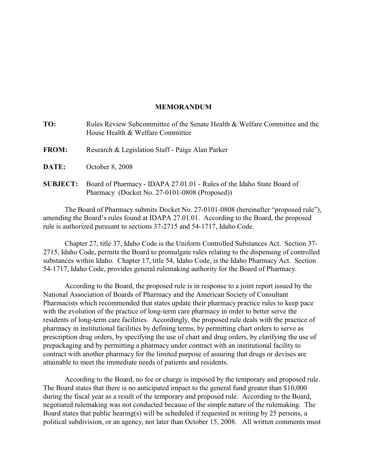### **MEMORANDUM**

| TO:             | Rules Review Subcommittee of the Senate Health & Welfare Committee and the<br>House Health & Welfare Committee          |
|-----------------|-------------------------------------------------------------------------------------------------------------------------|
| <b>FROM:</b>    | Research & Legislation Staff - Paige Alan Parker                                                                        |
| DATE:           | October 8, 2008                                                                                                         |
| <b>SUBJECT:</b> | Board of Pharmacy - IDAPA 27.01.01 - Rules of the Idaho State Board of<br>Pharmacy (Docket No. 27-0101-0808 (Proposed)) |

The Board of Pharmacy submits Docket No. 27-0101-0808 (hereinafter "proposed rule"), amending the Board's rules found at IDAPA 27.01.01. According to the Board, the proposed rule is authorized pursuant to sections 37-2715 and 54-1717, Idaho Code.

Chapter 27, title 37, Idaho Code is the Uniform Controlled Substances Act. Section 37- 2715, Idaho Code, permits the Board to promulgate rules relating to the dispensing of controlled substances within Idaho. Chapter 17, title 54, Idaho Code, is the Idaho Pharmacy Act. Section 54-1717, Idaho Code, provides general rulemaking authority for the Board of Pharmacy.

According to the Board, the proposed rule is in response to a joint report issued by the National Association of Boards of Pharmacy and the American Society of Consultant Pharmacists which recommended that states update their pharmacy practice rules to keep pace with the evolution of the practice of long-term care pharmacy in order to better serve the residents of long-term care facilities. Accordingly, the proposed rule deals with the practice of pharmacy in institutional facilities by defining terms, by permitting chart orders to serve as prescription drug orders, by specifying the use of chart and drug orders, by clarifying the use of prepackaging and by permitting a pharmacy under contract with an institutional facility to contract with another pharmacy for the limited purpose of assuring that drugs or devises are attainable to meet the immediate needs of patients and residents.

According to the Board, no fee or charge is imposed by the temporary and proposed rule. The Board states that there is no anticipated impact to the general fund greater than \$10,000 during the fiscal year as a result of the temporary and proposed rule. According to the Board, negotiated rulemaking was not conducted because of the simple nature of the rulemaking. The Board states that public hearing(s) will be scheduled if requested in writing by 25 persons, a political subdivision, or an agency, not later than October 15, 2008. All written comments must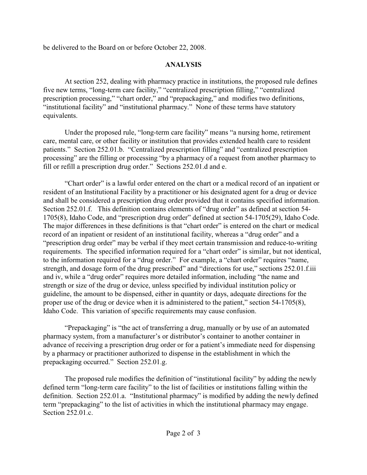be delivered to the Board on or before October 22, 2008.

## **ANALYSIS**

At section 252, dealing with pharmacy practice in institutions, the proposed rule defines five new terms, "long-term care facility," "centralized prescription filling," "centralized prescription processing," "chart order," and "prepackaging," and modifies two definitions, "institutional facility" and "institutional pharmacy." None of these terms have statutory equivalents.

Under the proposed rule, "long-term care facility" means "a nursing home, retirement care, mental care, or other facility or institution that provides extended health care to resident patients." Section 252.01.b. "Centralized prescription filling" and "centralized prescription processing" are the filling or processing "by a pharmacy of a request from another pharmacy to fill or refill a prescription drug order." Sections 252.01.d and e.

"Chart order" is a lawful order entered on the chart or a medical record of an inpatient or resident of an Institutional Facility by a practitioner or his designated agent for a drug or device and shall be considered a prescription drug order provided that it contains specified information. Section 252.01.f. This definition contains elements of "drug order" as defined at section 54-1705(8), Idaho Code, and "prescription drug order" defined at section 54-1705(29), Idaho Code. The major differences in these definitions is that "chart order" is entered on the chart or medical record of an inpatient or resident of an institutional facility, whereas a "drug order" and a "prescription drug order" may be verbal if they meet certain transmission and reduce-to-writing requirements. The specified information required for a "chart order" is similar, but not identical, to the information required for a "drug order." For example, a "chart order" requires "name, strength, and dosage form of the drug prescribed" and "directions for use," sections 252.01.f.iii and iv, while a "drug order" requires more detailed information, including "the name and strength or size of the drug or device, unless specified by individual institution policy or guideline, the amount to be dispensed, either in quantity or days, adequate directions for the proper use of the drug or device when it is administered to the patient," section 54-1705(8), Idaho Code. This variation of specific requirements may cause confusion.

"Prepackaging" is "the act of transferring a drug, manually or by use of an automated pharmacy system, from a manufacturer's or distributor's container to another container in advance of receiving a prescription drug order or for a patient's immediate need for dispensing by a pharmacy or practitioner authorized to dispense in the establishment in which the prepackaging occurred." Section 252.01.g.

The proposed rule modifies the definition of "institutional facility" by adding the newly defined term "long-term care facility" to the list of facilities or institutions falling within the definition. Section 252.01.a. "Institutional pharmacy" is modified by adding the newly defined term "prepackaging" to the list of activities in which the institutional pharmacy may engage. Section 252.01.c.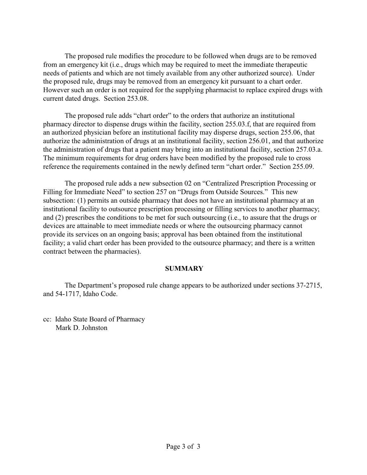The proposed rule modifies the procedure to be followed when drugs are to be removed from an emergency kit (i.e., drugs which may be required to meet the immediate therapeutic needs of patients and which are not timely available from any other authorized source). Under the proposed rule, drugs may be removed from an emergency kit pursuant to a chart order. However such an order is not required for the supplying pharmacist to replace expired drugs with current dated drugs. Section 253.08.

The proposed rule adds "chart order" to the orders that authorize an institutional pharmacy director to dispense drugs within the facility, section 255.03.f, that are required from an authorized physician before an institutional facility may disperse drugs, section 255.06, that authorize the administration of drugs at an institutional facility, section 256.01, and that authorize the administration of drugs that a patient may bring into an institutional facility, section 257.03.a. The minimum requirements for drug orders have been modified by the proposed rule to cross reference the requirements contained in the newly defined term "chart order." Section 255.09.

The proposed rule adds a new subsection 02 on "Centralized Prescription Processing or Filling for Immediate Need" to section 257 on "Drugs from Outside Sources." This new subsection: (1) permits an outside pharmacy that does not have an institutional pharmacy at an institutional facility to outsource prescription processing or filling services to another pharmacy; and (2) prescribes the conditions to be met for such outsourcing (i.e., to assure that the drugs or devices are attainable to meet immediate needs or where the outsourcing pharmacy cannot provide its services on an ongoing basis; approval has been obtained from the institutional facility; a valid chart order has been provided to the outsource pharmacy; and there is a written contract between the pharmacies).

## **SUMMARY**

The Department's proposed rule change appears to be authorized under sections 37-2715, and 54-1717, Idaho Code.

cc: Idaho State Board of Pharmacy Mark D. Johnston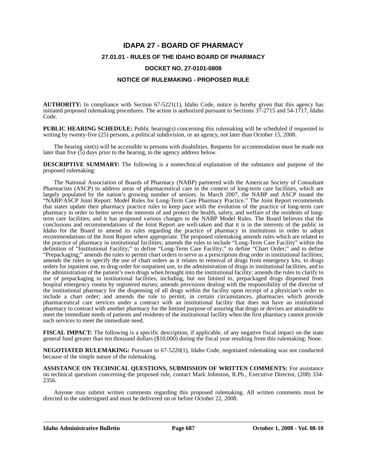# **IDAPA 27 - BOARD OF PHARMACY 27.01.01 - RULES OF THE IDAHO BOARD OF PHARMACY DOCKET NO. 27-0101-0808**

#### **NOTICE OF RULEMAKING - PROPOSED RULE**

**AUTHORITY:** In compliance with Section 67-5221(1), Idaho Code, notice is hereby given that this agency has initiated proposed rulemaking procedures. The action is authorized pursuant to Sections 37-2715 and 54-1717, Idaho Code.

**PUBLIC HEARING SCHEDULE:** Public hearing(s) concerning this rulemaking will be scheduled if requested in writing by twenty-five (25) persons, a political subdivision, or an agency, not later than October 15, 2008.

The hearing site(s) will be accessible to persons with disabilities. Requests for accommodation must be made not later than five  $(5)$  days prior to the hearing, to the agency address below.

**DESCRIPTIVE SUMMARY:** The following is a nontechnical explanation of the substance and purpose of the proposed rulemaking:

The National Association of Boards of Pharmacy (NABP) partnered with the American Society of Consultant Pharmacists (ASCP) to address areas of pharmaceutical care in the context of long-term care facilities, which are largely populated by the nation's growing number of seniors. In March 2007, the NABP and ASCP issued the "NABP/ASCP Joint Report: Model Rules for Long-Term Care Pharmacy Practice." The Joint Report recommends that states update their pharmacy practice rules to keep pace with the evolution of the practice of long-term care pharmacy in order to better serve the interests of and protect the health, safety, and welfare of the residents of longterm care facilities; and it has proposed various changes to the NABP Model Rules. The Board believes that the conclusions and recommendations of the Joint Report are well-taken and that it is in the interests of the public in Idaho for the Board to amend its rules regarding the practice of pharmacy in institutions in order to adopt recommendations of the Joint Report where appropriate. The proposed rulemaking amends rules which are related to the practice of pharmacy in institutional facilities; amends the rules to include "Long-Term Care Facility" within the definition of "Institutional Facility;" to define "Long-Term Care Facility;" to define "Chart Order;" and to define "Prepackaging;" amends the rules to permit chart orders to serve as a prescription drug order in institutional facilities; amends the rules to specify the use of chart orders as it relates to removal of drugs from emergency kits, to drugs orders for inpatient use, to drug order for outpatient use, to the administration of drugs in institutional facilities, and to the administration of the patient's own drugs when brought into the institutional facility; amends the rules to clarify to use of prepackaging in institutional facilities, including, but not limited to, prepackaged drugs dispensed from hospital emergency rooms by registered nurses; amends provisions dealing with the responsibility of the director of the institutional pharmacy for the dispensing of all drugs within the facility upon receipt of a physician's order to include a chart order; and amends the rule to permit, in certain circumstances, pharmacies which provide pharmaceutical care services under a contract with an institutional facility that does not have an institutional pharmacy to contract with another pharmacy for the limited purpose of assuring that drugs or devises are attainable to meet the immediate needs of patients and residents of the institutional facility when the first pharmacy cannot provide such services to meet the immediate need.

**FISCAL IMPACT:** The following is a specific description, if applicable, of any negative fiscal impact on the state general fund greater than ten thousand dollars (\$10,000) during the fiscal year resulting from this rulemaking: None.

**NEGOTIATED RULEMAKING:** Pursuant to 67-5220(1), Idaho Code, negotiated rulemaking was not conducted because of the simple nature of the rulemaking.

**ASSISTANCE ON TECHNICAL QUESTIONS, SUBMISSION OF WRITTEN COMMENTS:** For assistance on technical questions concerning the proposed rule, contact Mark Johnston, R.Ph., Executive Director, (208) 334- 2356.

Anyone may submit written comments regarding this proposed rulemaking. All written comments must be directed to the undersigned and must be delivered on or before October 22, 2008.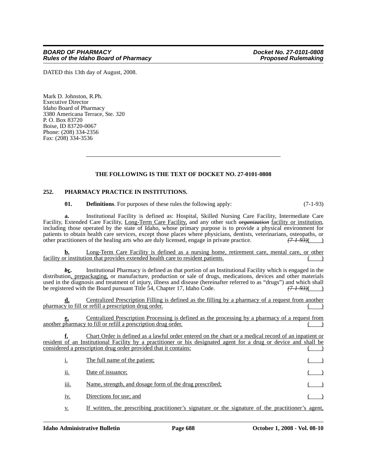DATED this 13th day of August, 2008.

Mark D. Johnston, R.Ph. Executive Director Idaho Board of Pharmacy 3380 Americana Terrace, Ste. 320 P. O. Box 83720 Boise, ID 83720-0067 Phone: (208) 334-2356 Fax: (208) 334-3536

#### **THE FOLLOWING IS THE TEXT OF DOCKET NO. 27-0101-0808**

#### **252. PHARMACY PRACTICE IN INSTITUTIONS.**

**01. Definitions**. For purposes of these rules the following apply: (7-1-93)

**a.** Institutional Facility is defined as: Hospital, Skilled Nursing Care Facility, Intermediate Care Facility, Long-Term Care Facility, and any other such *erganization* facility or institution, including those operated by the state of Idaho, whose primary purpose is to provide a physical environment for patients to obtain health care services, except those places where physicians, dentists, veterinarians, osteopaths, or other practitioners of the healing arts who are duly licensed, engage in private practice.  $(71.93)($ other practitioners of the healing arts who are duly licensed, engage in private practice. *(7-1-93)*( )

**b.** Long-Term Care Facility is defined as a nursing home, retirement care, mental care, or other facility or institution that provides extended health care to resident patients.

*b***c.** Institutional Pharmacy is defined as that portion of an Institutional Facility which is engaged in the distribution, prepackaging, or manufacture, production or sale of drugs, medications, devices and other materials used in the diagnosis and treatment of injury, illness and disease (hereinafter referred to as "drugs") and which shall be registered with the Board pursuant Title 54, Chapter 17, Idaho Code. *(7-1-93)*( )

Centralized Prescription Filling is defined as the filling by a pharmacy of a request from another pharmacy to fill or refill a prescription drug order.

**e.** Centralized Prescription Processing is defined as the processing by a pharmacy of a request from another pharmacy to fill or refill a prescription drug order.

**f.** Chart Order is defined as a lawful order entered on the chart or a medical record of an inpatient or resident of an Institutional Facility by a practitioner or his designated agent for a drug or device and shall be considered a prescription drug order provided that it contains:

| i.   | The full name of the patient;                           |  |
|------|---------------------------------------------------------|--|
| ii.  | Date of issuance;                                       |  |
| iii. | Name, strength, and dosage form of the drug prescribed; |  |
| iv.  | Directions for use; and                                 |  |

v. If written, the prescribing practitioner's signature or the signature of the practitioner's agent,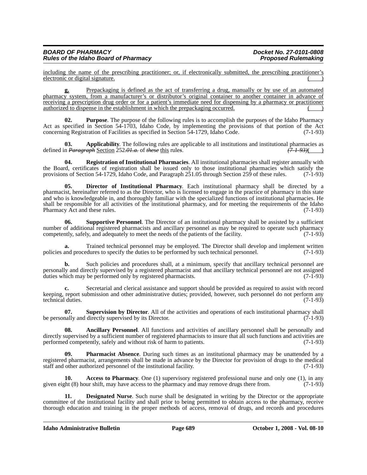including the name of the prescribing practitioner; or, if electronically submitted, the prescribing practitioner's electronic or digital signature.

**g.** Prepackaging is defined as the act of transferring a drug, manually or by use of an automated pharmacy system, from a manufacturer's or distributor's original container to another container in advance of receiving a prescription drug order or for a patient's immediate need for dispensing by a pharmacy or practitioner authorized to dispense in the establishment in which the prepackaging occurred.

**02. Purpose**. The purpose of the following rules is to accomplish the purposes of the Idaho Pharmacy Act as specified in Section 54-1703, Idaho Code, by implementing the provisions of that portion of the Act concerning Registration of Facilities as specified in Section 54-1729, Idaho Code. (7-1-93)

**03. Applicability**. The following rules are applicable to all institutions and institutional pharmacies as defined in *Paragraph* Section 252*.01.a.* of *these* this rule*s*. *(7-1-93)*( )

**04. Registration of Institutional Pharmacies**. All institutional pharmacies shall register annually with the Board, certificates of registration shall be issued only to those institutional pharmacies which satisfy the provisions of Section 54-1729, Idaho Code, and Paragraph 251.05 through Section 259 of these rules. (7-1-93)

**05. Director of Institutional Pharmacy**. Each institutional pharmacy shall be directed by a pharmacist, hereinafter referred to as the Director, who is licensed to engage in the practice of pharmacy in this state and who is knowledgeable in, and thoroughly familiar with the specialized functions of institutional pharmacies. He shall be responsible for all activities of the institutional pharmacy, and for meeting the requirements of the Idaho Pharmacy Act and these rules. (7-1-93)

**06. Supportive Personnel**. The Director of an institutional pharmacy shall be assisted by a sufficient number of additional registered pharmacists and ancillary personnel as may be required to operate such pharmacy competently, safely, and adequately to meet the needs of the patients of the facility. (7-1-93)

**a.** Trained technical personnel may be employed. The Director shall develop and implement written policies and procedures to specify the duties to be performed by such technical personnel. (7-1-93)

**b.** Such policies and procedures shall, at a minimum, specify that ancillary technical personnel are personally and directly supervised by a registered pharmacist and that ancillary technical personnel are not assigned duties which may be performed only by registered pharmacists.

**c.** Secretarial and clerical assistance and support should be provided as required to assist with record keeping, report submission and other administrative duties; provided, however, such personnel do not perform any technical duties. (7-1-93)

**07. Supervision by Director**. All of the activities and operations of each institutional pharmacy shall be personally and directly supervised by its Director. (7-1-93)

**08. Ancillary Personnel**. All functions and activities of ancillary personnel shall be personally and directly supervised by a sufficient number of registered pharmacists to insure that all such functions and activities are performed competently, safely and without risk of harm to patients. (7-1-93) performed competently, safely and without risk of harm to patients.

**Pharmacist Absence**. During such times as an institutional pharmacy may be unattended by a registered pharmacist, arrangements shall be made in advance by the Director for provision of drugs to the medical staff and other authorized personnel of the institutional facility. (7-1-93) staff and other authorized personnel of the institutional facility.

**Access to Pharmacy**. One (1) supervisory registered professional nurse and only one (1), in any given eight (8) hour shift, may have access to the pharmacy and may remove drugs there from. (7-1-93)

**11. Designated Nurse**. Such nurse shall be designated in writing by the Director or the appropriate committee of the institutional facility and shall prior to being permitted to obtain access to the pharmacy, receive thorough education and training in the proper methods of access, removal of drugs, and records and procedures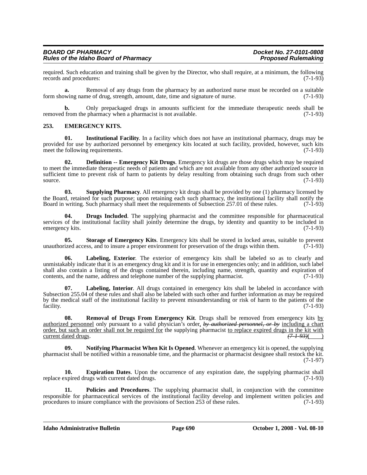| <b>BOARD OF PHARMACY</b>                    | Docket No. 27-0101-0808    |
|---------------------------------------------|----------------------------|
| <b>Rules of the Idaho Board of Pharmacy</b> | <b>Proposed Rulemaking</b> |

required. Such education and training shall be given by the Director, who shall require, at a minimum, the following records and procedures: (7-1-93) records and procedures:

**a.** Removal of any drugs from the pharmacy by an authorized nurse must be recorded on a suitable form showing name of drug, strength, amount, date, time and signature of nurse. (7-1-93)

**b.** Only prepackaged drugs in amounts sufficient for the immediate therapeutic needs shall be from the pharmacy when a pharmacist is not available. (7-1-93) removed from the pharmacy when a pharmacist is not available.

#### **253. EMERGENCY KITS.**

**01. Institutional Facility**. In a facility which does not have an institutional pharmacy, drugs may be provided for use by authorized personnel by emergency kits located at such facility, provided, however, such kits meet the following requirements. (7-1-93)

**02. Definition -- Emergency Kit Drugs**. Emergency kit drugs are those drugs which may be required to meet the immediate therapeutic needs of patients and which are not available from any other authorized source in sufficient time to prevent risk of harm to patients by delay resulting from obtaining such drugs from such other source.  $(7-1-93)$ 

**03. Supplying Pharmacy**. All emergency kit drugs shall be provided by one (1) pharmacy licensed by the Board, retained for such purpose; upon retaining each such pharmacy, the institutional facility shall notify the Board in writing. Such pharmacy shall meet the requirements of Subsection 257.01 of these rules. (7-1-93) Board in writing. Such pharmacy shall meet the requirements of Subsection 257.01 of these rules.

**04. Drugs Included**. The supplying pharmacist and the committee responsible for pharmaceutical services of the institutional facility shall jointly determine the drugs, by identity and quantity to be included in emergency kits. (7-1-93)

**05. Storage of Emergency Kits**. Emergency kits shall be stored in locked areas, suitable to prevent unauthorized access, and to insure a proper environment for preservation of the drugs within them. (7-1-93)

**06. Labeling, Exterior**. The exterior of emergency kits shall be labeled so as to clearly and unmistakably indicate that it is an emergency drug kit and it is for use in emergencies only; and in addition, such label shall also contain a listing of the drugs contained therein, including name, strength, quantity and expiration of contents, and the name, address and telephone number of the supplying pharmacist. (7-1-93) contents, and the name, address and telephone number of the supplying pharmacist.

**07. Labeling, Interior**. All drugs contained in emergency kits shall be labeled in accordance with Subsection 255.04 of these rules and shall also be labeled with such other and further information as may be required by the medical staff of the institutional facility to prevent misunderstanding or risk of harm to the patients of the facility. (7-1-93) facility. (7-1-93)

**08.** Removal of Drugs From Emergency Kit. Drugs shall be removed from emergency kits by authorized personnel only pursuant to a valid physician's order, *by authorized personnel, or by* including a chart order, but such an order shall not be required for the supplying pharmacist to replace expired drugs in the kit with current dated drugs.  $(7-1-93)($ current dated drugs.

**09. Notifying Pharmacist When Kit Is Opened**. Whenever an emergency kit is opened, the supplying pharmacist shall be notified within a reasonable time, and the pharmacist or pharmacist designee shall restock the kit. (7-1-97)

**10. Expiration Dates**. Upon the occurrence of any expiration date, the supplying pharmacist shall replace expired drugs with current dated drugs. (7-1-93)

**11. Policies and Procedures**. The supplying pharmacist shall, in conjunction with the committee responsible for pharmaceutical services of the institutional facility develop and implement written policies and procedures to insure compliance with the provisions of Section 253 of these rules. (7-1-93) procedures to insure compliance with the provisions of Section 253 of these rules.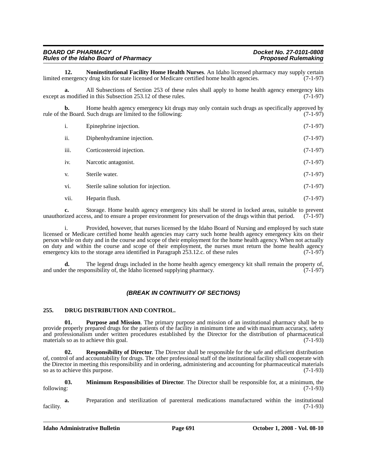| <b>BOARD OF PHARMACY</b>                    | Docket No. 27-0101-0808    |
|---------------------------------------------|----------------------------|
| <b>Rules of the Idaho Board of Pharmacy</b> | <b>Proposed Rulemaking</b> |
|                                             |                            |

**12. Noninstitutional Facility Home Health Nurses**. An Idaho licensed pharmacy may supply certain mergency drug kits for state licensed or Medicare certified home health agencies. (7-1-97) limited emergency drug kits for state licensed or Medicare certified home health agencies.

**a.** All Subsections of Section 253 of these rules shall apply to home health agency emergency kits is modified in this Subsection 253.12 of these rules. (7-1-97) except as modified in this Subsection 253.12 of these rules.

**b.** Home health agency emergency kit drugs may only contain such drugs as specifically approved by the Board. Such drugs are limited to the following: rule of the Board. Such drugs are limited to the following:

| i.   | Epinephrine injection.                 | $(7-1-97)$ |
|------|----------------------------------------|------------|
| ii.  | Diphenhydramine injection.             | $(7-1-97)$ |
| iii. | Corticosteroid injection.              | $(7-1-97)$ |
| iv.  | Narcotic antagonist.                   | $(7-1-97)$ |
| V.   | Sterile water.                         | $(7-1-97)$ |
| vi.  | Sterile saline solution for injection. | $(7-1-97)$ |
| vii. | Heparin flush.                         | $(7-1-97)$ |

**c.** Storage. Home health agency emergency kits shall be stored in locked areas, suitable to prevent unauthorized access, and to ensure a proper environment for preservation of the drugs within that period. (7-1-97)

i. Provided, however, that nurses licensed by the Idaho Board of Nursing and employed by such state licensed or Medicare certified home health agencies may carry such home health agency emergency kits on their person while on duty and in the course and scope of their employment for the home health agency. When not actually on duty and within the course and scope of their employment, the nurses must return the home health agency emergency kits to the storage area identified in Paragraph 253.12.c. of these rules  $(7-1-97)$ emergency kits to the storage area identified in Paragraph  $253.12.c$ . of these rules

The legend drugs included in the home health agency emergency kit shall remain the property of, and under the responsibility of, the Idaho licensed supplying pharmacy. (7-1-97)

#### *(BREAK IN CONTINUITY OF SECTIONS)*

#### **255. DRUG DISTRIBUTION AND CONTROL.**

**01. Purpose and Mission**. The primary purpose and mission of an institutional pharmacy shall be to provide properly prepared drugs for the patients of the facility in minimum time and with maximum accuracy, safety and professionalism under written procedures established by the Director for the distribution of pharmaceutical materials so as to achieve this goal. (7-1-93) materials so as to achieve this goal.

**02. Responsibility of Director**. The Director shall be responsible for the safe and efficient distribution of, control of and accountability for drugs. The other professional staff of the institutional facility shall cooperate with the Director in meeting this responsibility and in ordering, administering and accounting for pharmaceutical materials so as to achieve this purpose. (7-1-93)

**03. Minimum Responsibilities of Director**. The Director shall be responsible for, at a minimum, the following: (7-1-93)

**a.** Preparation and sterilization of parenteral medications manufactured within the institutional facility. (7-1-93)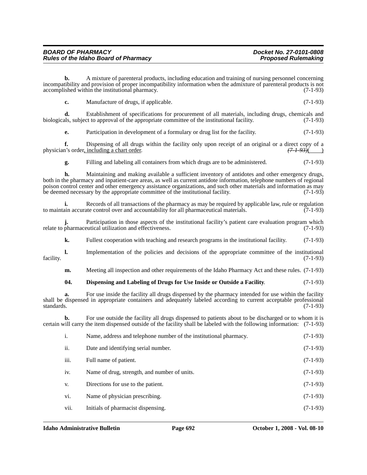| <b>BOARD OF PHARMACY</b>                    | Docket No. 27-0101-0808    |
|---------------------------------------------|----------------------------|
| <b>Rules of the Idaho Board of Pharmacy</b> | <b>Proposed Rulemaking</b> |

**b.** A mixture of parenteral products, including education and training of nursing personnel concerning incompatibility and provision of proper incompatibility information when the admixture of parenteral products is not accomplished within the institutional pharmacy. (7-1-93) accomplished within the institutional pharmacy.

**c.** Manufacture of drugs, if applicable. (7-1-93)

**d.** Establishment of specifications for procurement of all materials, including drugs, chemicals and biologicals, subject to approval of the appropriate committee of the institutional facility. (7-1-93)

**e.** Participation in development of a formulary or drug list for the facility. (7-1-93)

**f.** Dispensing of all drugs within the facility only upon receipt of an original or a direct copy of a physician's order, including a chart order.  $(71-93)$  ()

**g.** Filling and labeling all containers from which drugs are to be administered. (7-1-93)

**h.** Maintaining and making available a sufficient inventory of antidotes and other emergency drugs, both in the pharmacy and inpatient-care areas, as well as current antidote information, telephone numbers of regional poison control center and other emergency assistance organizations, and such other materials and information as may be deemed necessary by the appropriate committee of the institutional facility. (7-1-93)

**i.** Records of all transactions of the pharmacy as may be required by applicable law, rule or regulation to maintain accurate control over and accountability for all pharmaceutical materials. (7-1-93)

**j.** Participation in those aspects of the institutional facility's patient care evaluation program which relate to pharmaceutical utilization and effectiveness. (7-1-93)

**k.** Fullest cooperation with teaching and research programs in the institutional facility. (7-1-93)

**l.** Implementation of the policies and decisions of the appropriate committee of the institutional (7-1-93) facility. (7-1-93)

**m.** Meeting all inspection and other requirements of the Idaho Pharmacy Act and these rules. (7-1-93)

#### **04. Dispensing and Labeling of Drugs for Use Inside or Outside a Facility**. (7-1-93)

**a.** For use inside the facility all drugs dispensed by the pharmacy intended for use within the facility shall be dispensed in appropriate containers and adequately labeled according to current acceptable professional standards. (7-1-93) standards.  $(7-1-93)$ 

**b.** For use outside the facility all drugs dispensed to patients about to be discharged or to whom it is certain will carry the item dispensed outside of the facility shall be labeled with the following information: (7-1-93)

| i.   | Name, address and telephone number of the institutional pharmacy. | $(7-1-93)$ |
|------|-------------------------------------------------------------------|------------|
| ii.  | Date and identifying serial number.                               | $(7-1-93)$ |
| iii. | Full name of patient.                                             | $(7-1-93)$ |
| iv.  | Name of drug, strength, and number of units.                      | $(7-1-93)$ |
| V.   | Directions for use to the patient.                                | $(7-1-93)$ |
| vi.  | Name of physician prescribing.                                    | $(7-1-93)$ |
| vii. | Initials of pharmacist dispensing.                                | $(7-1-93)$ |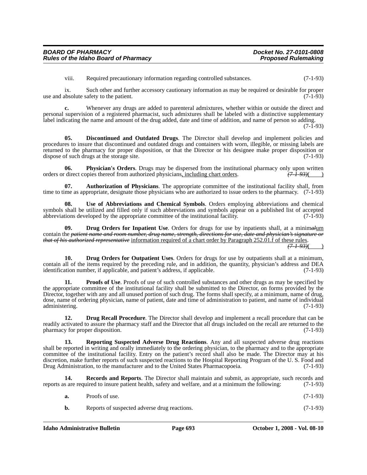viii. Required precautionary information regarding controlled substances. (7-1-93)

ix. Such other and further accessory cautionary information as may be required or desirable for proper<br>absolute safety to the patient. (7-1-93) use and absolute safety to the patient.

**c.** Whenever any drugs are added to parenteral admixtures, whether within or outside the direct and personal supervision of a registered pharmacist, such admixtures shall be labeled with a distinctive supplementary label indicating the name and amount of the drug added, date and time of addition, and name of person so adding.  $(7-1-93)$ 

**05. Discontinued and Outdated Drugs**. The Director shall develop and implement policies and procedures to insure that discontinued and outdated drugs and containers with worn, illegible, or missing labels are returned to the pharmacy for proper disposition, or that the Director or his designee make proper disposition or dispose of such drugs at the storage site. (7-1-93)

**06. Physician's Orders**. Drugs may be dispersed from the institutional pharmacy only upon written direct copies thereof from authorized physicians, including chart orders.  $(7-1-93)$   $(7-1-93)$ orders or direct copies thereof from authorized physicians, including chart orders.

**07. Authorization of Physicians**. The appropriate committee of the institutional facility shall, from time to time as appropriate, designate those physicians who are authorized to issue orders to the pharmacy. (7-1-93)

**08. Use of Abbreviations and Chemical Symbols**. Orders employing abbreviations and chemical symbols shall be utilized and filled only if such abbreviations and symbols appear on a published list of accepted abbreviations developed by the appropriate committee of the institutional facility. (7-1-93)

**09. Drug Orders for Inpatient Use**. Orders for drugs for use by inpatients shall, at a minim*al*um contain the *patient name and room number, drug name, strength, directions for use, date and physician's signature or that of his authorized representative* information required of a chart order by Paragraph 252.01.f of these rules.

*(7-1-93)*( )

**10. Drug Orders for Outpatient Uses**. Orders for drugs for use by outpatients shall at a minimum, contain all of the items required by the preceding rule, and in addition, the quantity, physician's address and DEA identification number, if applicable, and patient's address, if applicable. (7-1-93)

**11. Proofs of Use**. Proofs of use of such controlled substances and other drugs as may be specified by the appropriate committee of the institutional facility shall be submitted to the Director, on forms provided by the Director, together with any and all unused portion of such drug. The forms shall specify, at a minimum, name of drug, dose, name of ordering physician, name of patient, date and time of administration to patient, and name of individual administering.

**12. Drug Recall Procedure**. The Director shall develop and implement a recall procedure that can be readily activated to assure the pharmacy staff and the Director that all drugs included on the recall are returned to the pharmacy for proper disposition. (7-1-93)

**13. Reporting Suspected Adverse Drug Reactions**. Any and all suspected adverse drug reactions shall be reported in writing and orally immediately to the ordering physician, to the pharmacy and to the appropriate committee of the institutional facility. Entry on the patient's record shall also be made. The Director may at his discretion, make further reports of such suspected reactions to the Hospital Reporting Program of the U. S. Food and Drug Administration, to the manufacturer and to the United States Pharmacopoeia. (7-1-93) Drug Administration, to the manufacturer and to the United States Pharmacopoeia.

**14. Records and Reports**. The Director shall maintain and submit, as appropriate, such records and reports as are required to insure patient health, safety and welfare, and at a minimum the following: (7-1-93)

| a. | Proofs of use. | $(7-1-93)$ |
|----|----------------|------------|
|    |                |            |

**b.** Reports of suspected adverse drug reactions. (7-1-93)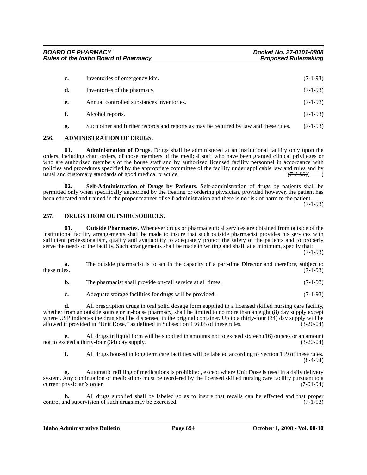| c. | Inventories of emergency kits.                                                        | $(7-1-93)$ |
|----|---------------------------------------------------------------------------------------|------------|
| d. | Inventories of the pharmacy.                                                          | $(7-1-93)$ |
| е. | Annual controlled substances inventories.                                             | $(7-1-93)$ |
| f. | Alcohol reports.                                                                      | $(7-1-93)$ |
| ջ. | Such other and further records and reports as may be required by law and these rules. | $(7-1-93)$ |

#### **256. ADMINISTRATION OF DRUGS.**

**01. Administration of Drugs**. Drugs shall be administered at an institutional facility only upon the orders, including chart orders, of those members of the medical staff who have been granted clinical privileges or who are authorized members of the house staff and by authorized licensed facility personnel in accordance with policies and procedures specified by the appropriate committee of the facility under applicable law and rules and by usual and customary standards of good medical practice. usual and customary standards of good medical practice.

**02. Self-Administration of Drugs by Patients**. Self-administration of drugs by patients shall be permitted only when specifically authorized by the treating or ordering physician, provided however, the patient has been educated and trained in the proper manner of self-administration and there is no risk of harm to the patient.

(7-1-93)

#### **257. DRUGS FROM OUTSIDE SOURCES.**

**01. Outside Pharmacies**. Whenever drugs or pharmaceutical services are obtained from outside of the institutional facility arrangements shall be made to insure that such outside pharmacist provides his services with sufficient professionalism, quality and availability to adequately protect the safety of the patients and to properly serve the needs of the facility. Such arrangements shall be made in writing and shall, at a minimum, specify that:

(7-1-93)

**a.** The outside pharmacist is to act in the capacity of a part-time Director and therefore, subject to these rules. (7-1-93) these rules.  $(7-1-93)$ 

**c.** Adequate storage facilities for drugs will be provided. (7-1-93)

**d.** All prescription drugs in oral solid dosage form supplied to a licensed skilled nursing care facility, whether from an outside source or in-house pharmacy, shall be limited to no more than an eight (8) day supply except where USP indicates the drug shall be dispensed in the original container. Up to a thirty-four (34) day supply will be allowed if provided in "Unit Dose," as defined in Subsection 156.05 of these rules. (3-20-04)

**e.** All drugs in liquid form will be supplied in amounts not to exceed sixteen (16) ounces or an amount ceed a thirty-four (34) day supply. (3-20-04) not to exceed a thirty-four  $(34)$  day supply.

**f.** All drugs housed in long term care facilities will be labeled according to Section 159 of these rules. (8-4-94)

**g.** Automatic refilling of medications is prohibited, except where Unit Dose is used in a daily delivery system. Any continuation of medications must be reordered by the licensed skilled nursing care facility pursuant to a current physician's order. (7-01-94)

**h.** All drugs supplied shall be labeled so as to insure that recalls can be effected and that proper nd supervision of such drugs may be exercised. (7-1-93) control and supervision of such drugs may be exercised.